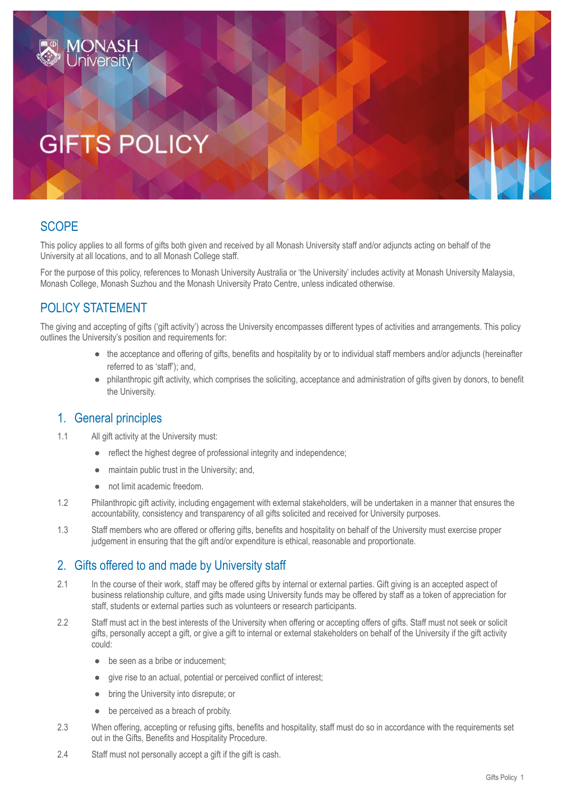# **GIFTS POLIC**

# **SCOPE**

This policy applies to all forms of gifts both given and received by all Monash University staff and/or adjuncts acting on behalf of the University at all locations, and to all Monash College staff.

For the purpose of this policy, references to Monash University Australia or 'the University' includes activity at Monash University Malaysia, Monash College, Monash Suzhou and the Monash University Prato Centre, unless indicated otherwise.

# POLICY STATEMENT

The giving and accepting of gifts ('gift activity') across the University encompasses different types of activities and arrangements. This policy outlines the University's position and requirements for:

- the acceptance and offering of gifts, benefits and hospitality by or to individual staff members and/or adjuncts (hereinafter referred to as 'staff'); and,
- philanthropic gift activity, which comprises the soliciting, acceptance and administration of gifts given by donors, to benefit the University.

## 1. General principles

- 1.1 All gift activity at the University must:
	- reflect the highest degree of professional integrity and independence;
	- maintain public trust in the University; and,
	- not limit academic freedom.
- 1.2 Philanthropic gift activity, including engagement with external stakeholders, will be undertaken in a manner that ensures the accountability, consistency and transparency of all gifts solicited and received for University purposes.
- 1.3 Staff members who are offered or offering gifts, benefits and hospitality on behalf of the University must exercise proper judgement in ensuring that the gift and/or expenditure is ethical, reasonable and proportionate.

## 2. Gifts offered to and made by University staff

- 2.1 In the course of their work, staff may be offered gifts by internal or external parties. Gift giving is an accepted aspect of business relationship culture, and gifts made using University funds may be offered by staff as a token of appreciation for staff, students or external parties such as volunteers or research participants.
- 2.2 Staff must act in the best interests of the University when offering or accepting offers of gifts. Staff must not seek or solicit gifts, personally accept a gift, or give a gift to internal or external stakeholders on behalf of the University if the gift activity could:
	- be seen as a bribe or inducement:
	- give rise to an actual, potential or perceived conflict of interest;
	- bring the University into disrepute; or
	- be perceived as a breach of probity.
- 2.3 When offering, accepting or refusing gifts, benefits and hospitality, staff must do so in accordance with the requirements set out in the Gifts, Benefits and Hospitality Procedure.
- 2.4 Staff must not personally accept a gift if the gift is cash.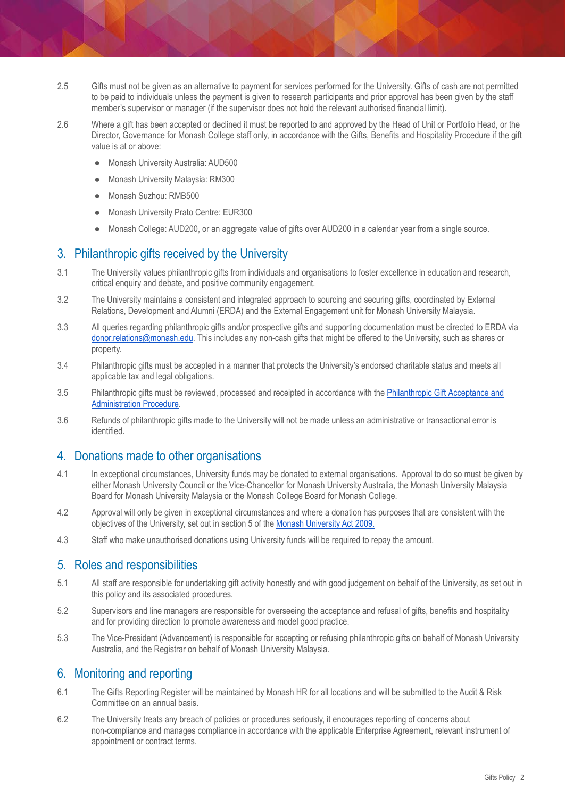- 2.5 Gifts must not be given as an alternative to payment for services performed for the University. Gifts of cash are not permitted to be paid to individuals unless the payment is given to research participants and prior approval has been given by the staff member's supervisor or manager (if the supervisor does not hold the relevant authorised financial limit).
- 2.6 Where a gift has been accepted or declined it must be reported to and approved by the Head of Unit or Portfolio Head, or the Director, Governance for Monash College staff only, in accordance with the Gifts, Benefits and Hospitality Procedure if the gift value is at or above:
	- Monash University Australia: AUD500
	- Monash University Malaysia: RM300
	- Monash Suzhou: RMB500
	- Monash University Prato Centre: EUR300
	- Monash College: AUD200, or an aggregate value of gifts over AUD200 in a calendar year from a single source.

### 3. Philanthropic gifts received by the University

- 3.1 The University values philanthropic gifts from individuals and organisations to foster excellence in education and research, critical enquiry and debate, and positive community engagement.
- 3.2 The University maintains a consistent and integrated approach to sourcing and securing gifts, coordinated by External Relations, Development and Alumni (ERDA) and the External Engagement unit for Monash University Malaysia.
- 3.3 All queries regarding philanthropic gifts and/or prospective gifts and supporting documentation must be directed to ERDA via [donor.relations@monash.edu.](mailto:donor.relations@monash.edu) This includes any non-cash gifts that might be offered to the University, such as shares or property.
- 3.4 Philanthropic gifts must be accepted in a manner that protects the University's endorsed charitable status and meets all applicable tax and legal obligations.
- 3.5 Philanthropic gifts must be reviewed, processed and receipted in accordance with the [Philanthropic](https://publicpolicydms.monash.edu/Monash/documents/1909176) Gift Acceptance and [Administration](https://publicpolicydms.monash.edu/Monash/documents/1909176) Procedure.
- 3.6 Refunds of philanthropic gifts made to the University will not be made unless an administrative or transactional error is identified.

#### 4. Donations made to other organisations

- 4.1 In exceptional circumstances, University funds may be donated to external organisations. Approval to do so must be given by either Monash University Council or the Vice-Chancellor for Monash University Australia, the Monash University Malaysia Board for Monash University Malaysia or the Monash College Board for Monash College.
- 4.2 Approval will only be given in exceptional circumstances and where a donation has purposes that are consistent with the objectives of the University, set out in section 5 of the Monash [University](https://www.legislation.vic.gov.au/in-force/acts/monash-university-act-2009/008) Act 2009.
- 4.3 Staff who make unauthorised donations using University funds will be required to repay the amount.

#### 5. Roles and responsibilities

- 5.1 All staff are responsible for undertaking gift activity honestly and with good judgement on behalf of the University, as set out in this policy and its associated procedures.
- 5.2 Supervisors and line managers are responsible for overseeing the acceptance and refusal of gifts, benefits and hospitality and for providing direction to promote awareness and model good practice.
- 5.3 The Vice-President (Advancement) is responsible for accepting or refusing philanthropic gifts on behalf of Monash University Australia, and the Registrar on behalf of Monash University Malaysia.

#### 6. Monitoring and reporting

- 6.1 The Gifts Reporting Register will be maintained by Monash HR for all locations and will be submitted to the Audit & Risk Committee on an annual basis.
- 6.2 The University treats any breach of policies or procedures seriously, it encourages reporting of concerns about non-compliance and manages compliance in accordance with the applicable Enterprise Agreement, relevant instrument of appointment or contract terms.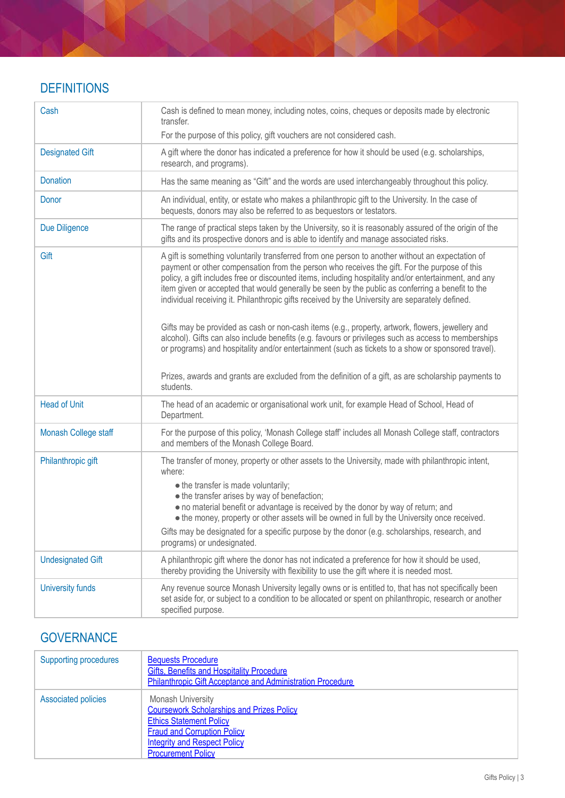# **DEFINITIONS**

| Cash                     | Cash is defined to mean money, including notes, coins, cheques or deposits made by electronic<br>transfer.<br>For the purpose of this policy, gift vouchers are not considered cash.                                                                                                                                                                                                                                                                                                                                                                                                                                                                                                                                                                                                                                                                                                                                                      |
|--------------------------|-------------------------------------------------------------------------------------------------------------------------------------------------------------------------------------------------------------------------------------------------------------------------------------------------------------------------------------------------------------------------------------------------------------------------------------------------------------------------------------------------------------------------------------------------------------------------------------------------------------------------------------------------------------------------------------------------------------------------------------------------------------------------------------------------------------------------------------------------------------------------------------------------------------------------------------------|
|                          |                                                                                                                                                                                                                                                                                                                                                                                                                                                                                                                                                                                                                                                                                                                                                                                                                                                                                                                                           |
| <b>Designated Gift</b>   | A gift where the donor has indicated a preference for how it should be used (e.g. scholarships,<br>research, and programs).                                                                                                                                                                                                                                                                                                                                                                                                                                                                                                                                                                                                                                                                                                                                                                                                               |
| <b>Donation</b>          | Has the same meaning as "Gift" and the words are used interchangeably throughout this policy.                                                                                                                                                                                                                                                                                                                                                                                                                                                                                                                                                                                                                                                                                                                                                                                                                                             |
| Donor                    | An individual, entity, or estate who makes a philanthropic gift to the University. In the case of<br>bequests, donors may also be referred to as bequestors or testators.                                                                                                                                                                                                                                                                                                                                                                                                                                                                                                                                                                                                                                                                                                                                                                 |
| Due Diligence            | The range of practical steps taken by the University, so it is reasonably assured of the origin of the<br>gifts and its prospective donors and is able to identify and manage associated risks.                                                                                                                                                                                                                                                                                                                                                                                                                                                                                                                                                                                                                                                                                                                                           |
| Gift                     | A gift is something voluntarily transferred from one person to another without an expectation of<br>payment or other compensation from the person who receives the gift. For the purpose of this<br>policy, a gift includes free or discounted items, including hospitality and/or entertainment, and any<br>item given or accepted that would generally be seen by the public as conferring a benefit to the<br>individual receiving it. Philanthropic gifts received by the University are separately defined.<br>Gifts may be provided as cash or non-cash items (e.g., property, artwork, flowers, jewellery and<br>alcohol). Gifts can also include benefits (e.g. favours or privileges such as access to memberships<br>or programs) and hospitality and/or entertainment (such as tickets to a show or sponsored travel).<br>Prizes, awards and grants are excluded from the definition of a gift, as are scholarship payments to |
|                          | students.                                                                                                                                                                                                                                                                                                                                                                                                                                                                                                                                                                                                                                                                                                                                                                                                                                                                                                                                 |
| <b>Head of Unit</b>      | The head of an academic or organisational work unit, for example Head of School, Head of<br>Department.                                                                                                                                                                                                                                                                                                                                                                                                                                                                                                                                                                                                                                                                                                                                                                                                                                   |
| Monash College staff     | For the purpose of this policy, 'Monash College staff' includes all Monash College staff, contractors<br>and members of the Monash College Board.                                                                                                                                                                                                                                                                                                                                                                                                                                                                                                                                                                                                                                                                                                                                                                                         |
| Philanthropic gift       | The transfer of money, property or other assets to the University, made with philanthropic intent,<br>where:<br>• the transfer is made voluntarily;<br>• the transfer arises by way of benefaction;<br>. no material benefit or advantage is received by the donor by way of return; and<br>• the money, property or other assets will be owned in full by the University once received.<br>Gifts may be designated for a specific purpose by the donor (e.g. scholarships, research, and<br>programs) or undesignated.                                                                                                                                                                                                                                                                                                                                                                                                                   |
| <b>Undesignated Gift</b> | A philanthropic gift where the donor has not indicated a preference for how it should be used,<br>thereby providing the University with flexibility to use the gift where it is needed most.                                                                                                                                                                                                                                                                                                                                                                                                                                                                                                                                                                                                                                                                                                                                              |
| <b>University funds</b>  | Any revenue source Monash University legally owns or is entitled to, that has not specifically been<br>set aside for, or subject to a condition to be allocated or spent on philanthropic, research or another<br>specified purpose.                                                                                                                                                                                                                                                                                                                                                                                                                                                                                                                                                                                                                                                                                                      |

# **GOVERNANCE**

| <b>Supporting procedures</b> | <b>Bequests Procedure</b><br><b>Gifts, Benefits and Hospitality Procedure</b><br><b>Philanthropic Gift Acceptance and Administration Procedure</b>                                                                       |
|------------------------------|--------------------------------------------------------------------------------------------------------------------------------------------------------------------------------------------------------------------------|
| <b>Associated policies</b>   | <b>Monash University</b><br><b>Coursework Scholarships and Prizes Policy</b><br><b>Ethics Statement Policy</b><br><b>Fraud and Corruption Policy</b><br><b>Integrity and Respect Policy</b><br><b>Procurement Policy</b> |